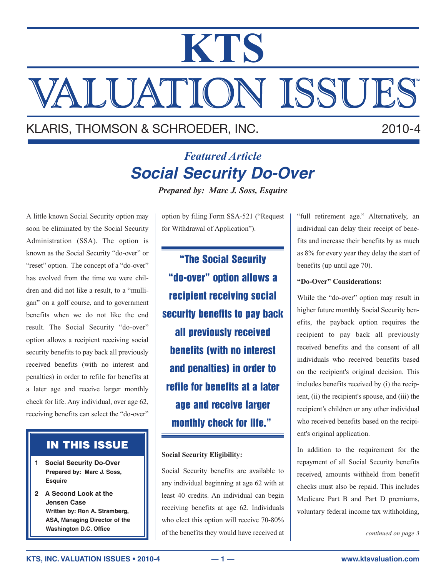# **KTS** VALUATION ISSUES

# KLARIS, THOMSON & SCHROEDER, INC. 2010-4

# *Featured Article* **Social Security Do-Over**

*Prepared by: Marc J. Soss, Esquire*

A little known Social Security option may soon be eliminated by the Social Security Administration (SSA). The option is known as the Social Security "do-over" or "reset" option. The concept of a "do-over" has evolved from the time we were children and did not like a result, to a "mulligan" on a golf course, and to government benefits when we do not like the end result. The Social Security "do-over" option allows a recipient receiving social security benefits to pay back all previously received benefits (with no interest and penalties) in order to refile for benefits at a later age and receive larger monthly check for life. Any individual, over age 62, receiving benefits can select the "do-over"

# **IN THIS ISSUE**

- **1 Social Security Do-Over Prepared by: Marc J. Soss, Esquire**
- **2 A Second Look at the Jensen Case Written by: Ron A. Stramberg, ASA, Managing Director of the Washington D.C. Office**

option by filing Form SSA-521 ("Request for Withdrawal of Application").

**"The Social Security "do-over" option allows a recipient receiving social security benefits to pay back all previously received benefits (with no interest and penalties) in order to refile for benefits at a later age and receive larger monthly check for life."**

## **Social Security Eligibility:**

Social Security benefits are available to any individual beginning at age 62 with at least 40 credits. An individual can begin receiving benefits at age 62. Individuals who elect this option will receive 70-80% of the benefits they would have received at "full retirement age." Alternatively, an individual can delay their receipt of benefits and increase their benefits by as much as 8% for every year they delay the start of benefits (up until age 70).

#### **"Do-Over" Considerations:**

While the "do-over" option may result in higher future monthly Social Security benefits, the payback option requires the recipient to pay back all previously received benefits and the consent of all individuals who received benefits based on the recipient's original decision. This includes benefits received by (i) the recipient, (ii) the recipient's spouse, and (iii) the recipient's children or any other individual who received benefits based on the recipient's original application.

In addition to the requirement for the repayment of all Social Security benefits received, amounts withheld from benefit checks must also be repaid. This includes Medicare Part B and Part D premiums, voluntary federal income tax withholding,

*continued on page 3*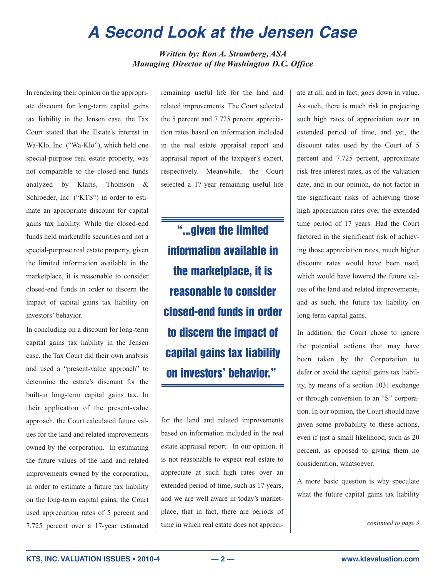# **A Second Look at the Jensen Case**

*Written by: Ron A. Stramberg, ASA Managing Director of the Washington D.C. Office*

In rendering their opinion on the appropriate discount for long-term capital gains tax liability in the Jensen case, the Tax Court stated that the Estate's interest in Wa-Klo, Inc. ("Wa-Klo"), which held one special-purpose real estate property, was not comparable to the closed-end funds analyzed by Klaris, Thomson & Schroeder, Inc. ("KTS") in order to estimate an appropriate discount for capital gains tax liability. While the closed-end funds held marketable securities and not a special-purpose real estate property, given the limited information available in the marketplace, it is reasonable to consider closed-end funds in order to discern the impact of capital gains tax liability on investors' behavior.

In concluding on a discount for long-term capital gains tax liability in the Jensen case, the Tax Court did their own analysis and used a "present-value approach" to determine the estate's discount for the built-in long-term capital gains tax. In their application of the present-value approach, the Court calculated future values for the land and related improvements owned by the corporation. In estimating the future values of the land and related improvements owned by the corporation, in order to estimate a future tax liability on the long-term capital gains, the Court used appreciation rates of 5 percent and 7.725 percent over a 17-year estimated

remaining useful life for the land and related improvements. The Court selected the 5 percent and 7.725 percent appreciation rates based on information included in the real estate appraisal report and appraisal report of the taxpayer's expert, respectively. Meanwhile, the Court selected a 17-year remaining useful life

**"...given the limited information available in the marketplace, it is reasonable to consider closed-end funds in order to discern the impact of capital gains tax liability on investors' behavior."**

for the land and related improvements based on information included in the real estate appraisal report. In our opinion, it is not reasonable to expect real estate to appreciate at such high rates over an extended period of time, such as 17 years, and we are well aware in today's marketplace, that in fact, there are periods of time in which real estate does not appreciate at all, and in fact, goes down in value. As such, there is much risk in projecting such high rates of appreciation over an extended period of time, and yet, the discount rates used by the Court of 5 percent and 7.725 percent, approximate risk-free interest rates, as of the valuation date, and in our opinion, do not factor in the significant risks of achieving those high appreciation rates over the extended time period of 17 years. Had the Court factored in the significant risk of achieving those appreciation rates, much higher discount rates would have been used, which would have lowered the future values of the land and related improvements, and as such, the future tax liability on long-term capital gains.

In addition, the Court chose to ignore the potential actions that may have been taken by the Corporation to defer or avoid the capital gains tax liability, by means of a section 1031 exchange or through conversion to an "S" corporation. In our opinion, the Court should have given some probability to these actions, even if just a small likelihood, such as 20 percent, as opposed to giving them no consideration, whatsoever.

A more basic question is why speculate what the future capital gains tax liability

*continued to page 3*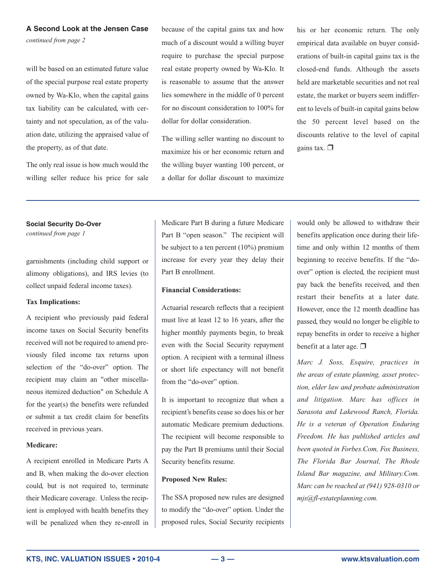# **A Second Look at the Jensen Case**

*continued from page 2*

will be based on an estimated future value of the special purpose real estate property owned by Wa-Klo, when the capital gains tax liability can be calculated, with certainty and not speculation, as of the valuation date, utilizing the appraised value of the property, as of that date.

The only real issue is how much would the willing seller reduce his price for sale because of the capital gains tax and how much of a discount would a willing buyer require to purchase the special purpose real estate property owned by Wa-Klo. It is reasonable to assume that the answer lies somewhere in the middle of 0 percent for no discount consideration to 100% for dollar for dollar consideration.

The willing seller wanting no discount to maximize his or her economic return and the willing buyer wanting 100 percent, or a dollar for dollar discount to maximize his or her economic return. The only empirical data available on buyer considerations of built-in capital gains tax is the closed-end funds. Although the assets held are marketable securities and not real estate, the market or buyers seem indifferent to levels of built-in capital gains below the 50 percent level based on the discounts relative to the level of capital gains tax. ❒

#### **Social Security Do-Over**

*continued from page 1*

garnishments (including child support or alimony obligations), and IRS levies (to collect unpaid federal income taxes).

#### **Tax Implications:**

A recipient who previously paid federal income taxes on Social Security benefits received will not be required to amend previously filed income tax returns upon selection of the "do-over" option. The recipient may claim an "other miscellaneous itemized deduction" on Schedule A for the year(s) the benefits were refunded or submit a tax credit claim for benefits received in previous years.

#### **Medicare:**

A recipient enrolled in Medicare Parts A and B, when making the do-over election could, but is not required to, terminate their Medicare coverage. Unless the recipient is employed with health benefits they will be penalized when they re-enroll in Medicare Part B during a future Medicare Part B "open season." The recipient will be subject to a ten percent (10%) premium increase for every year they delay their Part B enrollment.

## **Financial Considerations:**

Actuarial research reflects that a recipient must live at least 12 to 16 years, after the higher monthly payments begin, to break even with the Social Security repayment option. A recipient with a terminal illness or short life expectancy will not benefit from the "do-over" option.

It is important to recognize that when a recipient's benefits cease so does his or her automatic Medicare premium deductions. The recipient will become responsible to pay the Part B premiums until their Social Security benefits resume.

## **Proposed New Rules:**

The SSA proposed new rules are designed to modify the "do-over" option. Under the proposed rules, Social Security recipients would only be allowed to withdraw their benefits application once during their lifetime and only within 12 months of them beginning to receive benefits. If the "doover" option is elected, the recipient must pay back the benefits received, and then restart their benefits at a later date. However, once the 12 month deadline has passed, they would no longer be eligible to repay benefits in order to receive a higher benefit at a later age.  $\Box$ 

*Marc J. Soss, Esquire, practices in the areas of estate planning, asset protection, elder law and probate administration and litigation. Marc has offices in Sarasota and Lakewood Ranch, Florida. He is a veteran of Operation Enduring Freedom. He has published articles and been quoted in Forbes.Com, Fox Business, The Florida Bar Journal, The Rhode Island Bar magazine, and Military.Com. Marc can be reached at (941) 928-0310 or mjs@fl-estateplanning.com.*